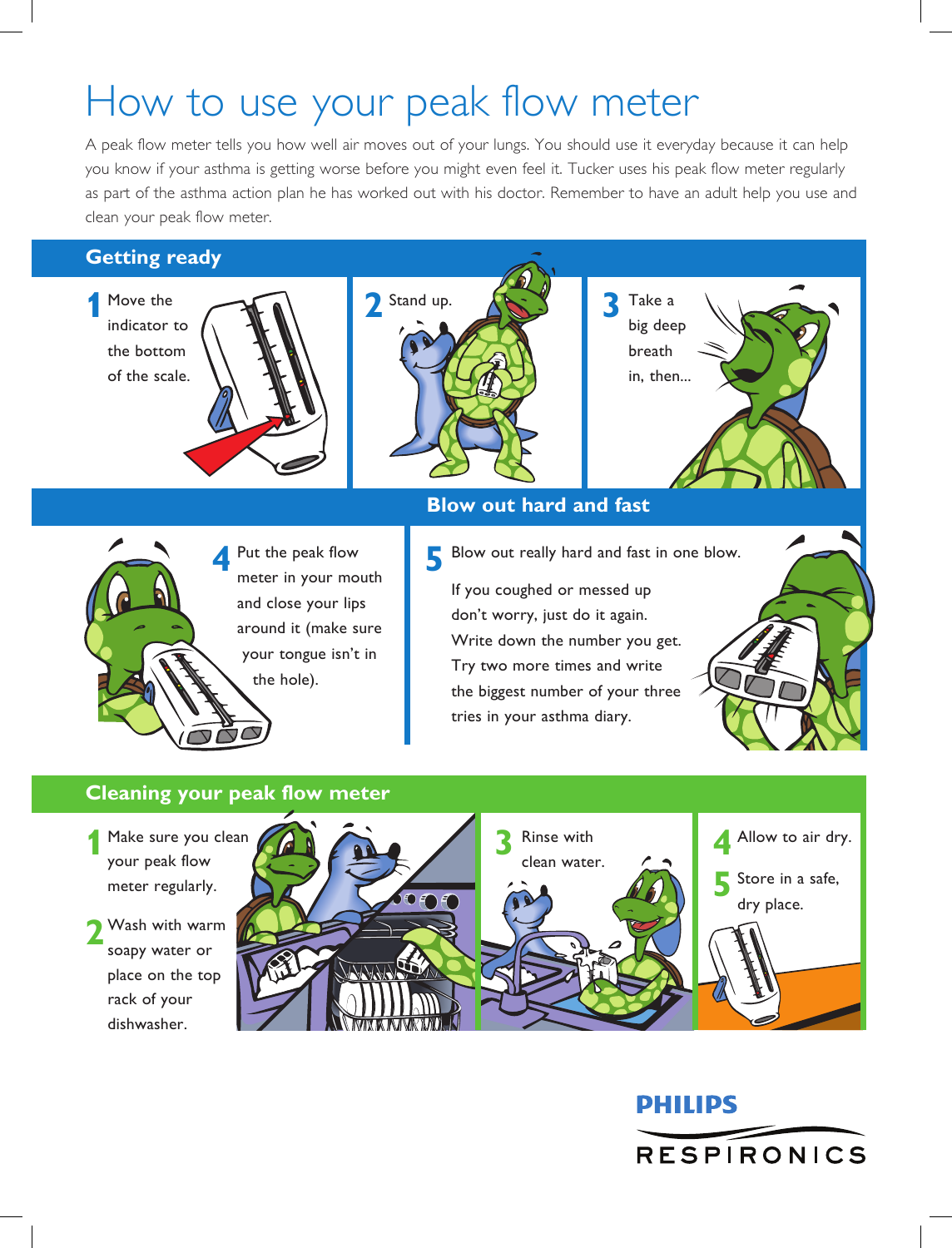# How to use your peak flow meter

A peak flow meter tells you how well air moves out of your lungs. You should use it everyday because it can help you know if your asthma is getting worse before you might even feel it. Tucker uses his peak flow meter regularly as part of the asthma action plan he has worked out with his doctor. Remember to have an adult help you use and clean your peak flow meter.

### **Getting ready**

Move the indicator to the bottom of the scale.





big deep breath in, then...

# **Blow out hard and fast**

- - **4** Put the peak flow **5** meter in your mouth and close your lips around it (make sure your tongue isn't in the hole).
- Blow out really hard and fast in one blow.
	- If you coughed or messed up don't worry, just do it again. Write down the number you get. Try two more times and write the biggest number of your three tries in your asthma diary.

## **Cleaning your peak flow meter**

- Make sure you clean your peak flow meter regularly. **1**
- Wash with warm soapy water or place on the top rack of your dishwasher. **2**